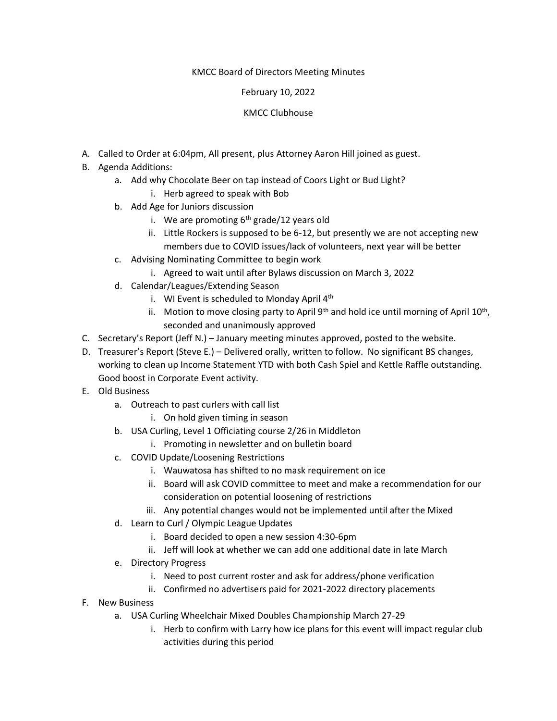# KMCC Board of Directors Meeting Minutes

# February 10, 2022

# KMCC Clubhouse

- A. Called to Order at 6:04pm, All present, plus Attorney Aaron Hill joined as guest.
- B. Agenda Additions:
	- a. Add why Chocolate Beer on tap instead of Coors Light or Bud Light? i. Herb agreed to speak with Bob
	- b. Add Age for Juniors discussion
		- i. We are promoting  $6<sup>th</sup>$  grade/12 years old
		- ii. Little Rockers is supposed to be 6-12, but presently we are not accepting new members due to COVID issues/lack of volunteers, next year will be better
	- c. Advising Nominating Committee to begin work
		- i. Agreed to wait until after Bylaws discussion on March 3, 2022
	- d. Calendar/Leagues/Extending Season
		- i. WI Event is scheduled to Monday April  $4<sup>th</sup>$
		- ii. Motion to move closing party to April 9<sup>th</sup> and hold ice until morning of April 10<sup>th</sup>, seconded and unanimously approved
- C. Secretary's Report (Jeff N.) January meeting minutes approved, posted to the website.
- D. Treasurer's Report (Steve E.) Delivered orally, written to follow. No significant BS changes, working to clean up Income Statement YTD with both Cash Spiel and Kettle Raffle outstanding. Good boost in Corporate Event activity.
- E. Old Business
	- a. Outreach to past curlers with call list
		- i. On hold given timing in season
	- b. USA Curling, Level 1 Officiating course 2/26 in Middleton
		- i. Promoting in newsletter and on bulletin board
	- c. COVID Update/Loosening Restrictions
		- i. Wauwatosa has shifted to no mask requirement on ice
		- ii. Board will ask COVID committee to meet and make a recommendation for our consideration on potential loosening of restrictions
		- iii. Any potential changes would not be implemented until after the Mixed
	- d. Learn to Curl / Olympic League Updates
		- i. Board decided to open a new session 4:30-6pm
		- ii. Jeff will look at whether we can add one additional date in late March
	- e. Directory Progress
		- i. Need to post current roster and ask for address/phone verification
		- ii. Confirmed no advertisers paid for 2021-2022 directory placements
- F. New Business
	- a. USA Curling Wheelchair Mixed Doubles Championship March 27-29
		- i. Herb to confirm with Larry how ice plans for this event will impact regular club activities during this period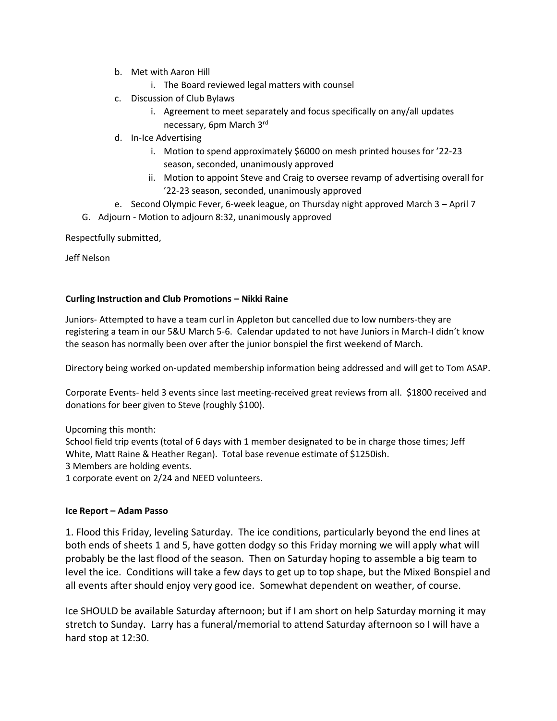- b. Met with Aaron Hill
	- i. The Board reviewed legal matters with counsel
- c. Discussion of Club Bylaws
	- i. Agreement to meet separately and focus specifically on any/all updates necessary, 6pm March 3rd
- d. In-Ice Advertising
	- i. Motion to spend approximately \$6000 on mesh printed houses for '22-23 season, seconded, unanimously approved
	- ii. Motion to appoint Steve and Craig to oversee revamp of advertising overall for '22-23 season, seconded, unanimously approved
- e. Second Olympic Fever, 6-week league, on Thursday night approved March 3 April 7
- G. Adjourn Motion to adjourn 8:32, unanimously approved

Respectfully submitted,

Jeff Nelson

## **Curling Instruction and Club Promotions – Nikki Raine**

Juniors- Attempted to have a team curl in Appleton but cancelled due to low numbers-they are registering a team in our 5&U March 5-6. Calendar updated to not have Juniors in March-I didn't know the season has normally been over after the junior bonspiel the first weekend of March.

Directory being worked on-updated membership information being addressed and will get to Tom ASAP.

Corporate Events- held 3 events since last meeting-received great reviews from all. \$1800 received and donations for beer given to Steve (roughly \$100).

Upcoming this month:

School field trip events (total of 6 days with 1 member designated to be in charge those times; Jeff White, Matt Raine & Heather Regan). Total base revenue estimate of \$1250ish. 3 Members are holding events.

1 corporate event on 2/24 and NEED volunteers.

## **Ice Report – Adam Passo**

1. Flood this Friday, leveling Saturday. The ice conditions, particularly beyond the end lines at both ends of sheets 1 and 5, have gotten dodgy so this Friday morning we will apply what will probably be the last flood of the season. Then on Saturday hoping to assemble a big team to level the ice. Conditions will take a few days to get up to top shape, but the Mixed Bonspiel and all events after should enjoy very good ice. Somewhat dependent on weather, of course.

Ice SHOULD be available Saturday afternoon; but if I am short on help Saturday morning it may stretch to Sunday. Larry has a funeral/memorial to attend Saturday afternoon so I will have a hard stop at 12:30.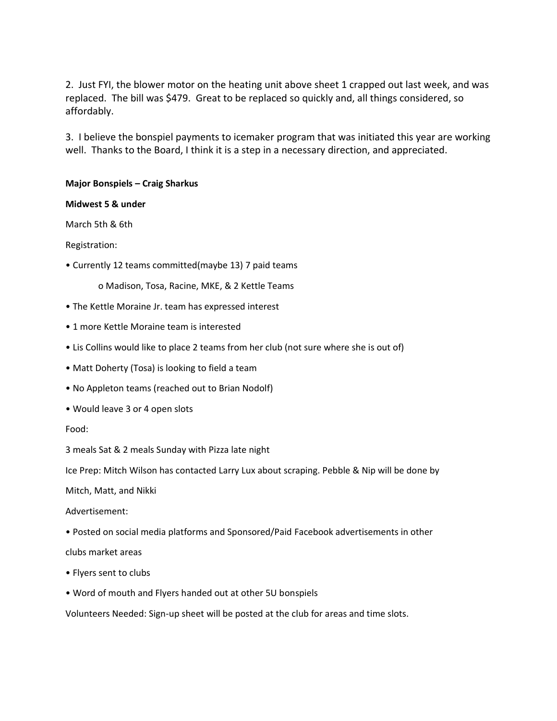2. Just FYI, the blower motor on the heating unit above sheet 1 crapped out last week, and was replaced. The bill was \$479. Great to be replaced so quickly and, all things considered, so affordably.

3. I believe the bonspiel payments to icemaker program that was initiated this year are working well. Thanks to the Board, I think it is a step in a necessary direction, and appreciated.

## **Major Bonspiels – Craig Sharkus**

## **Midwest 5 & under**

March 5th & 6th

Registration:

• Currently 12 teams committed(maybe 13) 7 paid teams

o Madison, Tosa, Racine, MKE, & 2 Kettle Teams

- The Kettle Moraine Jr. team has expressed interest
- 1 more Kettle Moraine team is interested
- Lis Collins would like to place 2 teams from her club (not sure where she is out of)
- Matt Doherty (Tosa) is looking to field a team
- No Appleton teams (reached out to Brian Nodolf)
- Would leave 3 or 4 open slots
- Food:

3 meals Sat & 2 meals Sunday with Pizza late night

Ice Prep: Mitch Wilson has contacted Larry Lux about scraping. Pebble & Nip will be done by

Mitch, Matt, and Nikki

Advertisement:

- Posted on social media platforms and Sponsored/Paid Facebook advertisements in other
- clubs market areas
- Flyers sent to clubs
- Word of mouth and Flyers handed out at other 5U bonspiels

Volunteers Needed: Sign-up sheet will be posted at the club for areas and time slots.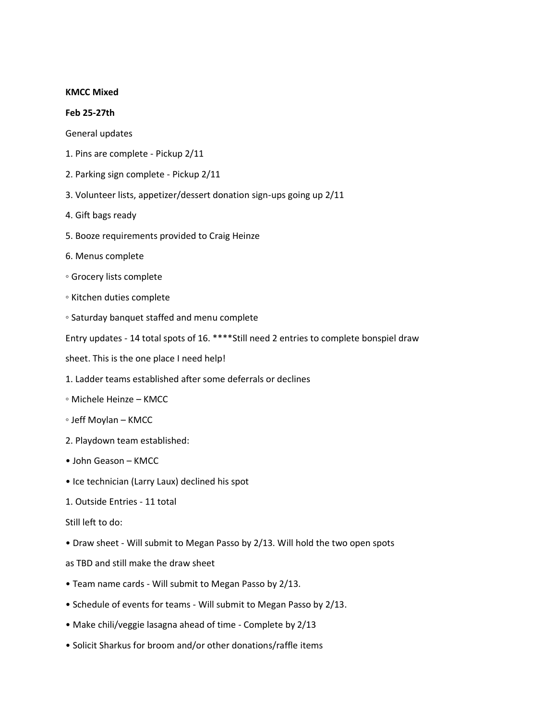#### **KMCC Mixed**

#### **Feb 25-27th**

General updates

- 1. Pins are complete Pickup 2/11
- 2. Parking sign complete Pickup 2/11
- 3. Volunteer lists, appetizer/dessert donation sign-ups going up 2/11
- 4. Gift bags ready
- 5. Booze requirements provided to Craig Heinze
- 6. Menus complete
- Grocery lists complete
- Kitchen duties complete
- Saturday banquet staffed and menu complete

Entry updates - 14 total spots of 16. \*\*\*\*Still need 2 entries to complete bonspiel draw

sheet. This is the one place I need help!

- 1. Ladder teams established after some deferrals or declines
- Michele Heinze KMCC
- Jeff Moylan KMCC
- 2. Playdown team established:
- John Geason KMCC
- Ice technician (Larry Laux) declined his spot
- 1. Outside Entries 11 total
- Still left to do:
- Draw sheet Will submit to Megan Passo by 2/13. Will hold the two open spots
- as TBD and still make the draw sheet
- Team name cards Will submit to Megan Passo by 2/13.
- Schedule of events for teams Will submit to Megan Passo by 2/13.
- Make chili/veggie lasagna ahead of time Complete by 2/13
- Solicit Sharkus for broom and/or other donations/raffle items